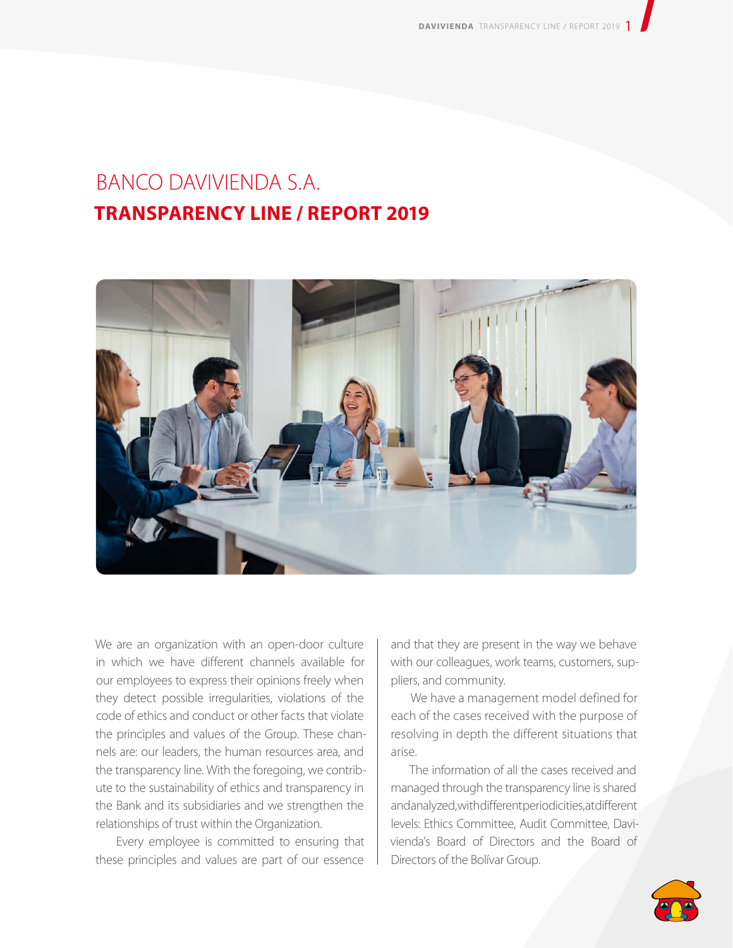## BANCO DAVIVIENDA S.A. **TRANSPARENCY LINE / REPORT 2019**



We are an organization with an open-door culture in which we have different channels available for our employees to express their opinions freely when they detect possible irregularities, violations of the code of ethics and conduct or other facts that violate the principles and values of the Group. These channels are: our leaders, the human resources area, and the transparency line. With the foregoing, we contribute to the sustainability of ethics and transparency in the Bank and its subsidiaries and we strengthen the relationships of trust within the Organization.

Every employee is committed to ensuring that these principles and values are part of our essence

and that they are present in the way we behave with our colleagues, work teams, customers, suppliers, and community.

We have a management model defined for each of the cases received with the purpose of resolving in depth the different situations that arise.

The information of all the cases received and managed through the transparency line is shared and analyzed, with different periodicities, at different levels: Ethics Committee, Audit Committee, Davivienda's Board of Directors and the Board of Directors of the Bolívar Group.

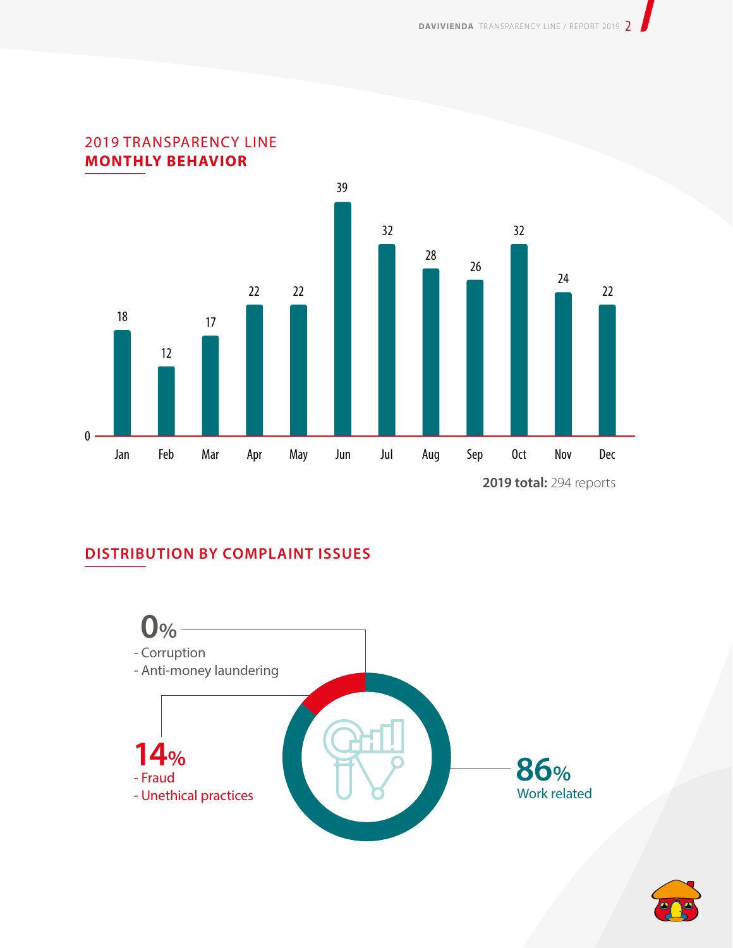



## **DISTRIBUTION BY COMPLAINT ISSUES**



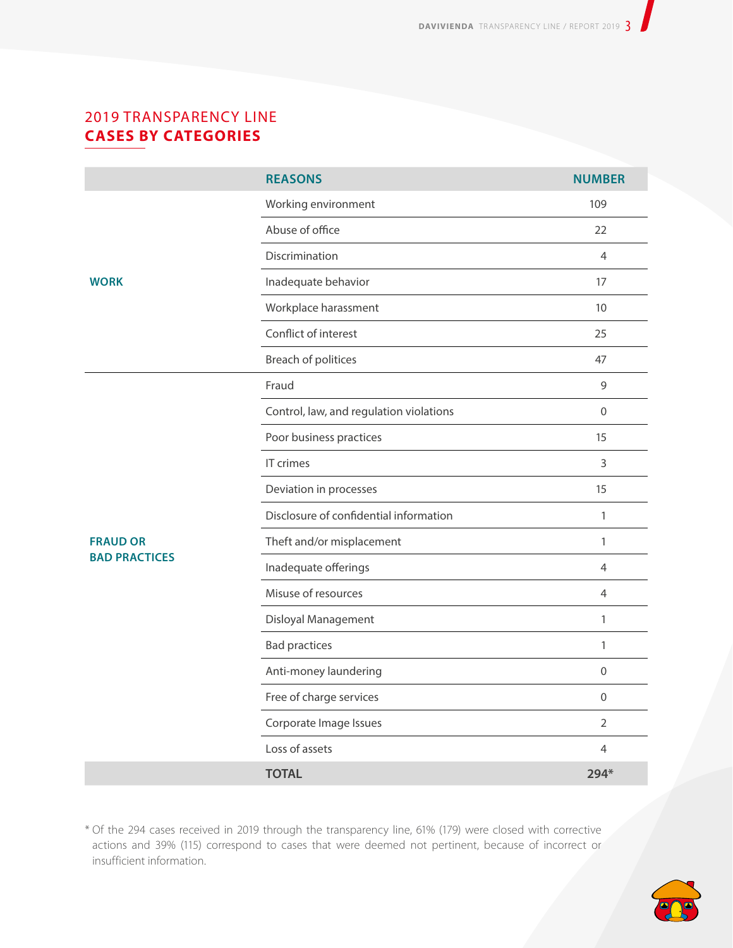## 2019 TRANSPARENCY LINE **CASES BY CATEGORIES**

|                                         | <b>REASONS</b>                          | <b>NUMBER</b>  |
|-----------------------------------------|-----------------------------------------|----------------|
| <b>WORK</b>                             | Working environment                     | 109            |
|                                         | Abuse of office                         | 22             |
|                                         | Discrimination                          | $\overline{4}$ |
|                                         | Inadequate behavior                     | 17             |
|                                         | Workplace harassment                    | 10             |
|                                         | Conflict of interest                    | 25             |
|                                         | Breach of politices                     | 47             |
| <b>FRAUD OR</b><br><b>BAD PRACTICES</b> | Fraud                                   | 9              |
|                                         | Control, law, and regulation violations | $\mathbf 0$    |
|                                         | Poor business practices                 | 15             |
|                                         | IT crimes                               | $\mathsf{3}$   |
|                                         | Deviation in processes                  | 15             |
|                                         | Disclosure of confidential information  | $\mathbf{1}$   |
|                                         | Theft and/or misplacement               | 1              |
|                                         | Inadequate offerings                    | $\overline{4}$ |
|                                         | Misuse of resources                     | $\overline{4}$ |
|                                         | Disloyal Management                     | $\mathbf{1}$   |
|                                         | <b>Bad practices</b>                    | 1              |
|                                         | Anti-money laundering                   | $\mathbf{0}$   |
|                                         | Free of charge services                 | $\mathbf 0$    |
|                                         | Corporate Image Issues                  | $\overline{2}$ |
|                                         | Loss of assets                          | 4              |
|                                         | <b>TOTAL</b>                            | 294*           |

\* Of the 294 cases received in 2019 through the transparency line, 61% (179) were closed with corrective actions and 39% (115) correspond to cases that were deemed not pertinent, because of incorrect or insufficient information.